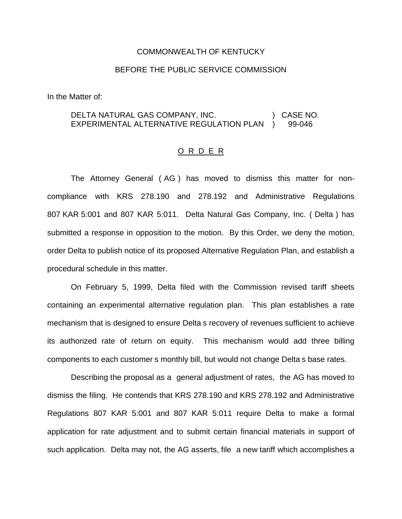#### COMMONWEALTH OF KENTUCKY

### BEFORE THE PUBLIC SERVICE COMMISSION

In the Matter of:

#### DELTA NATURAL GAS COMPANY, INC. EXPERIMENTAL ALTERNATIVE REGULATION PLAN ) CASE NO. ) 99-046

#### O R D E R

The Attorney General ( AG ) has moved to dismiss this matter for noncompliance with KRS 278.190 and 278.192 and Administrative Regulations 807 KAR 5:001 and 807 KAR 5:011. Delta Natural Gas Company, Inc. ( Delta ) has submitted a response in opposition to the motion. By this Order, we deny the motion, order Delta to publish notice of its proposed Alternative Regulation Plan, and establish a procedural schedule in this matter.

On February 5, 1999, Delta filed with the Commission revised tariff sheets containing an experimental alternative regulation plan. This plan establishes a rate mechanism that is designed to ensure Delta s recovery of revenues sufficient to achieve its authorized rate of return on equity. This mechanism would add three billing components to each customer s monthly bill, but would not change Delta s base rates.

Describing the proposal as a general adjustment of rates, the AG has moved to dismiss the filing. He contends that KRS 278.190 and KRS 278.192 and Administrative Regulations 807 KAR 5:001 and 807 KAR 5:011 require Delta to make a formal application for rate adjustment and to submit certain financial materials in support of such application. Delta may not, the AG asserts, file a new tariff which accomplishes a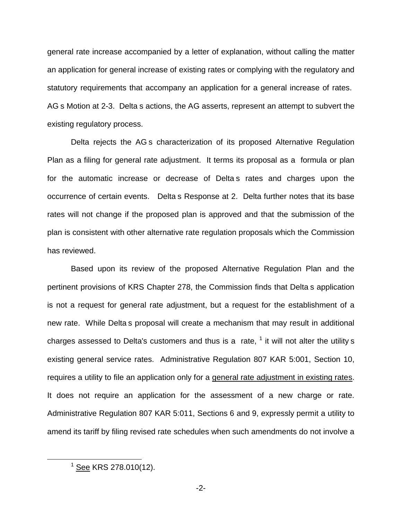general rate increase accompanied by a letter of explanation, without calling the matter an application for general increase of existing rates or complying with the regulatory and statutory requirements that accompany an application for a general increase of rates. AG s Motion at 2-3. Delta s actions, the AG asserts, represent an attempt to subvert the existing regulatory process.

Delta rejects the AG s characterization of its proposed Alternative Regulation Plan as a filing for general rate adjustment. It terms its proposal as a formula or plan for the automatic increase or decrease of Delta s rates and charges upon the occurrence of certain events. Delta s Response at 2. Delta further notes that its base rates will not change if the proposed plan is approved and that the submission of the plan is consistent with other alternative rate regulation proposals which the Commission has reviewed.

Based upon its review of the proposed Alternative Regulation Plan and the pertinent provisions of KRS Chapter 278, the Commission finds that Delta s application is not a request for general rate adjustment, but a request for the establishment of a new rate. While Delta s proposal will create a mechanism that may result in additional charges assessed to Delta's customers and thus is a rate,  $<sup>1</sup>$  it will not alter the utility s</sup> existing general service rates. Administrative Regulation 807 KAR 5:001, Section 10, requires a utility to file an application only for a general rate adjustment in existing rates. It does not require an application for the assessment of a new charge or rate. Administrative Regulation 807 KAR 5:011, Sections 6 and 9, expressly permit a utility to amend its tariff by filing revised rate schedules when such amendments do not involve a

 $1$  See KRS 278.010(12).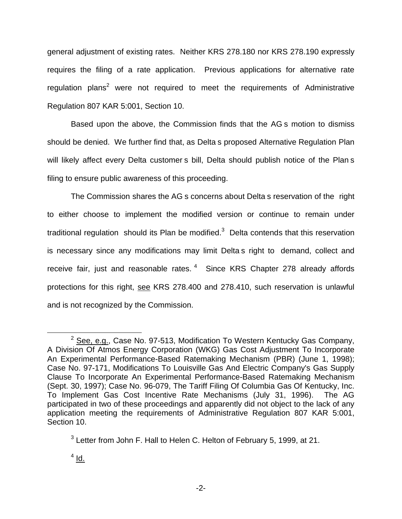general adjustment of existing rates. Neither KRS 278.180 nor KRS 278.190 expressly requires the filing of a rate application. Previous applications for alternative rate regulation plans<sup>2</sup> were not required to meet the requirements of Administrative Regulation 807 KAR 5:001, Section 10.

Based upon the above, the Commission finds that the AG s motion to dismiss should be denied. We further find that, as Delta s proposed Alternative Regulation Plan will likely affect every Delta customer s bill, Delta should publish notice of the Plan s filing to ensure public awareness of this proceeding.

The Commission shares the AG s concerns about Delta s reservation of the right to either choose to implement the modified version or continue to remain under traditional regulation should its Plan be modified. $3$  Delta contends that this reservation is necessary since any modifications may limit Delta s right to demand, collect and receive fair, just and reasonable rates.<sup>4</sup> Since KRS Chapter 278 already affords protections for this right, see KRS 278.400 and 278.410, such reservation is unlawful and is not recognized by the Commission.

 $2$  See, e.g., Case No. 97-513, Modification To Western Kentucky Gas Company, A Division Of Atmos Energy Corporation (WKG) Gas Cost Adjustment To Incorporate An Experimental Performance-Based Ratemaking Mechanism (PBR) (June 1, 1998); Case No. 97-171, Modifications To Louisville Gas And Electric Company's Gas Supply Clause To Incorporate An Experimental Performance-Based Ratemaking Mechanism (Sept. 30, 1997); Case No. 96-079, The Tariff Filing Of Columbia Gas Of Kentucky, Inc. To Implement Gas Cost Incentive Rate Mechanisms (July 31, 1996). The AG participated in two of these proceedings and apparently did not object to the lack of any application meeting the requirements of Administrative Regulation 807 KAR 5:001, Section 10.

 $3$  Letter from John F. Hall to Helen C. Helton of February 5, 1999, at 21.

 $<sup>4</sup>$  Id.</sup>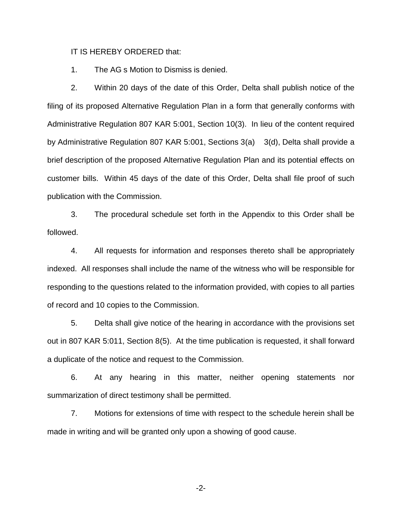IT IS HEREBY ORDERED that:

1. The AG s Motion to Dismiss is denied.

2. Within 20 days of the date of this Order, Delta shall publish notice of the filing of its proposed Alternative Regulation Plan in a form that generally conforms with Administrative Regulation 807 KAR 5:001, Section 10(3). In lieu of the content required by Administrative Regulation 807 KAR 5:001, Sections 3(a) 3(d), Delta shall provide a brief description of the proposed Alternative Regulation Plan and its potential effects on customer bills. Within 45 days of the date of this Order, Delta shall file proof of such publication with the Commission.

3. The procedural schedule set forth in the Appendix to this Order shall be followed.

4. All requests for information and responses thereto shall be appropriately indexed. All responses shall include the name of the witness who will be responsible for responding to the questions related to the information provided, with copies to all parties of record and 10 copies to the Commission.

5. Delta shall give notice of the hearing in accordance with the provisions set out in 807 KAR 5:011, Section 8(5). At the time publication is requested, it shall forward a duplicate of the notice and request to the Commission.

6. At any hearing in this matter, neither opening statements nor summarization of direct testimony shall be permitted.

7. Motions for extensions of time with respect to the schedule herein shall be made in writing and will be granted only upon a showing of good cause.

-2-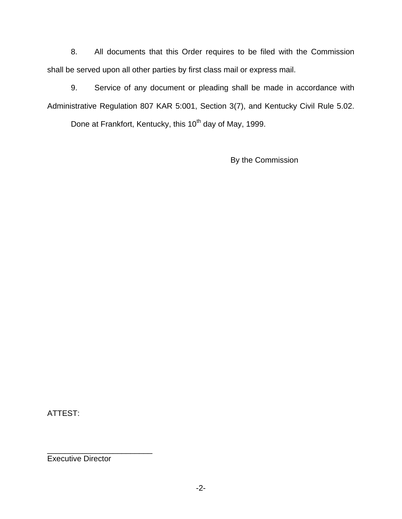8. All documents that this Order requires to be filed with the Commission shall be served upon all other parties by first class mail or express mail.

9. Service of any document or pleading shall be made in accordance with Administrative Regulation 807 KAR 5:001, Section 3(7), and Kentucky Civil Rule 5.02.

Done at Frankfort, Kentucky, this 10<sup>th</sup> day of May, 1999.

By the Commission

ATTEST:

Executive Director

\_\_\_\_\_\_\_\_\_\_\_\_\_\_\_\_\_\_\_\_\_\_\_\_